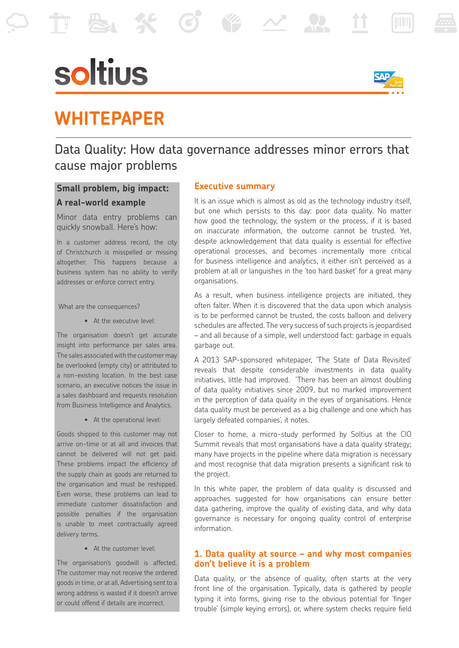# soltius



## **WHITEPAPER**

### Data Quality: How data governance addresses minor errors that cause major problems

#### **Small problem, big impact: A real-world example**

Minor data entry problems can quickly snowball. Here's how:

In a customer address record, the city of Christchurch is misspelled or missing altogether. This happens because a business system has no ability to verify addresses or enforce correct entry.

What are the consequences?

 • At the executive level:

The organisation doesn't get accurate insight into performance per sales area. The sales associated with the customer may be overlooked (empty city) or attributed to a non-existing location. In the best case scenario, an executive notices the issue in a sales dashboard and requests resolution from Business Intelligence and Analytics.

 • At the operational level:

Goods shipped to this customer may not arrive on-time or at all and invoices that cannot be delivered will not get paid. These problems impact the efficiency of the supply chain as goods are returned to the organisation and must be reshipped. Even worse, these problems can lead to immediate customer dissatisfaction and possible penalties if the organisation is unable to meet contractually agreed delivery terms.

 • At the customer level:

The organisation's goodwill is affected. The customer may not receive the ordered goods in time, or at all. Advertising sent to a wrong address is wasted if it doesn't arrive or could offend if details are incorrect.

#### **Executive summary**

It is an issue which is almost as old as the technology industry itself, but one which persists to this day: poor data quality. No matter how good the technology, the system or the process, if it is based on inaccurate information, the outcome cannot be trusted. Yet, despite acknowledgement that data quality is essential for effective operational processes, and becomes incrementally more critical for business intelligence and analytics, it either isn't perceived as a problem at all or languishes in the 'too hard basket' for a great many organisations.

As a result, when business intelligence projects are initiated, they often falter. When it is discovered that the data upon which analysis is to be performed cannot be trusted, the costs balloon and delivery schedules are affected. The very success of such projects is jeopardised – and all because of a simple, well understood fact: garbage in equals garbage out.

A 2013 SAP-sponsored whitepaper, 'The State of Data Revisited' reveals that despite considerable investments in data quality initiatives, little had improved. 'There has been an almost doubling of data quality initiatives since 2009, but no marked improvement in the perception of data quality in the eyes of organisations. Hence data quality must be perceived as a big challenge and one which has largely defeated companies', it notes.

Closer to home, a micro-study performed by Soltius at the CIO Summit reveals that most organisations have a data quality strategy; many have projects in the pipeline where data migration is necessary and most recognise that data migration presents a significant risk to the project.

In this white paper, the problem of data quality is discussed and approaches suggested for how organisations can ensure better data gathering, improve the quality of existing data, and why data governance is necessary for ongoing quality control of enterprise information.

#### **1. Data quality at source – and why most companies don't believe it is a problem**

Data quality, or the absence of quality, often starts at the very front line of the organisation. Typically, data is gathered by people typing it into forms, giving rise to the obvious potential for 'finger trouble' (simple keying errors), or, where system checks require field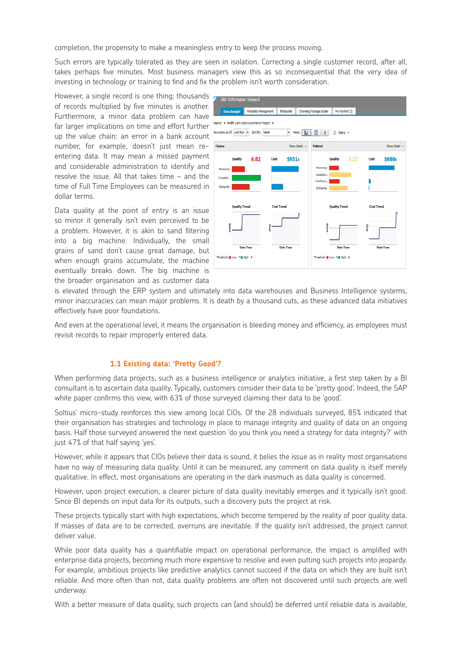completion, the propensity to make a meaningless entry to keep the process moving.

Such errors are typically tolerated as they are seen in isolation. Correcting a single customer record, after all, takes perhaps five minutes. Most business managers view this as so inconsequential that the very idea of investing in technology or training to find and fix the problem isn't worth consideration.

However, a single record is one thing; thousands of records multiplied by five minutes is another. Furthermore, a minor data problem can have far larger implications on time and effort further up the value chain: an error in a bank account number, for example, doesn't just mean reentering data. It may mean a missed payment and considerable administration to identify and resolve the issue. All that takes time – and the time of Full Time Employees can be measured in dollar terms.

Data quality at the point of entry is an issue so minor it generally isn't even perceived to be a problem. However, it is akin to sand filtering into a big machine. Individually, the small grains of sand don't cause great damage, but when enough grains accumulate, the machine eventually breaks down. The big machine is the broader organisation and as customer data



is elevated through the ERP system and ultimately into data warehouses and Business Intelligence systems, minor inaccuracies can mean major problems. It is death by a thousand cuts, as these advanced data initiatives effectively have poor foundations.

And even at the operational level, it means the organisation is bleeding money and efficiency, as employees must revisit records to repair improperly entered data.

#### **1.1 Existing data: 'Pretty Good'?**

When performing data projects, such as a business intelligence or analytics initiative, a first step taken by a BI consultant is to ascertain data quality. Typically, customers consider their data to be 'pretty good'. Indeed, the SAP white paper confirms this view, with 63% of those surveyed claiming their data to be 'good'.

Soltius' micro-study reinforces this view among local CIOs. Of the 28 individuals surveyed, 85% indicated that their organisation has strategies and technology in place to manage integrity and quality of data on an ongoing basis. Half those surveyed answered the next question 'do you think you need a strategy for data integrity?' with just 47% of that half saying 'yes'.

However, while it appears that CIOs believe their data is sound, it belies the issue as in reality most organisations have no way of measuring data quality. Until it can be measured, any comment on data quality is itself merely qualitative. In effect, most organisations are operating in the dark inasmuch as data quality is concerned.

However, upon project execution, a clearer picture of data quality inevitably emerges and it typically isn't good. Since BI depends on input data for its outputs, such a discovery puts the project at risk.

These projects typically start with high expectations, which become tempered by the reality of poor quality data. If masses of data are to be corrected, overruns are inevitable. If the quality isn't addressed, the project cannot deliver value.

While poor data quality has a quantifiable impact on operational performance, the impact is amplified with enterprise data projects, becoming much more expensive to resolve and even putting such projects into jeopardy. For example, ambitious projects like predictive analytics cannot succeed if the data on which they are built isn't reliable. And more often than not, data quality problems are often not discovered until such projects are well underway.

With a better measure of data quality, such projects can (and should) be deferred until reliable data is available,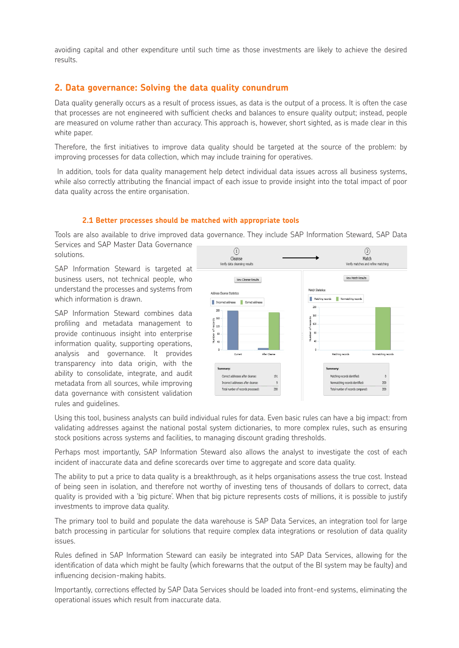avoiding capital and other expenditure until such time as those investments are likely to achieve the desired results.

#### **2. Data governance: Solving the data quality conundrum**

Data quality generally occurs as a result of process issues, as data is the output of a process. It is often the case that processes are not engineered with sufficient checks and balances to ensure quality output; instead, people are measured on volume rather than accuracy. This approach is, however, short sighted, as is made clear in this white paper.

Therefore, the first initiatives to improve data quality should be targeted at the source of the problem: by improving processes for data collection, which may include training for operatives.

 In addition, tools for data quality management help detect individual data issues across all business systems, while also correctly attributing the financial impact of each issue to provide insight into the total impact of poor data quality across the entire organisation.

#### **2.1 Better processes should be matched with appropriate tools**

Tools are also available to drive improved data governance. They include SAP Information Steward, SAP Data Services and SAP Master Data Governance

solutions.

SAP Information Steward is targeted at business users, not technical people, who understand the processes and systems from which information is drawn.

SAP Information Steward combines data profiling and metadata management to provide continuous insight into enterprise information quality, supporting operations, analysis and governance. It provides transparency into data origin, with the ability to consolidate, integrate, and audit metadata from all sources, while improving data governance with consistent validation rules and guidelines.



Using this tool, business analysts can build individual rules for data. Even basic rules can have a big impact: from validating addresses against the national postal system dictionaries, to more complex rules, such as ensuring stock positions across systems and facilities, to managing discount grading thresholds.

Perhaps most importantly, SAP Information Steward also allows the analyst to investigate the cost of each incident of inaccurate data and define scorecards over time to aggregate and score data quality.

The ability to put a price to data quality is a breakthrough, as it helps organisations assess the true cost. Instead of being seen in isolation, and therefore not worthy of investing tens of thousands of dollars to correct, data quality is provided with a 'big picture'. When that big picture represents costs of millions, it is possible to justify investments to improve data quality.

The primary tool to build and populate the data warehouse is SAP Data Services, an integration tool for large batch processing in particular for solutions that require complex data integrations or resolution of data quality issues.

Rules defined in SAP Information Steward can easily be integrated into SAP Data Services, allowing for the identification of data which might be faulty (which forewarns that the output of the BI system may be faulty) and influencing decision-making habits.

Importantly, corrections effected by SAP Data Services should be loaded into front-end systems, eliminating the operational issues which result from inaccurate data.